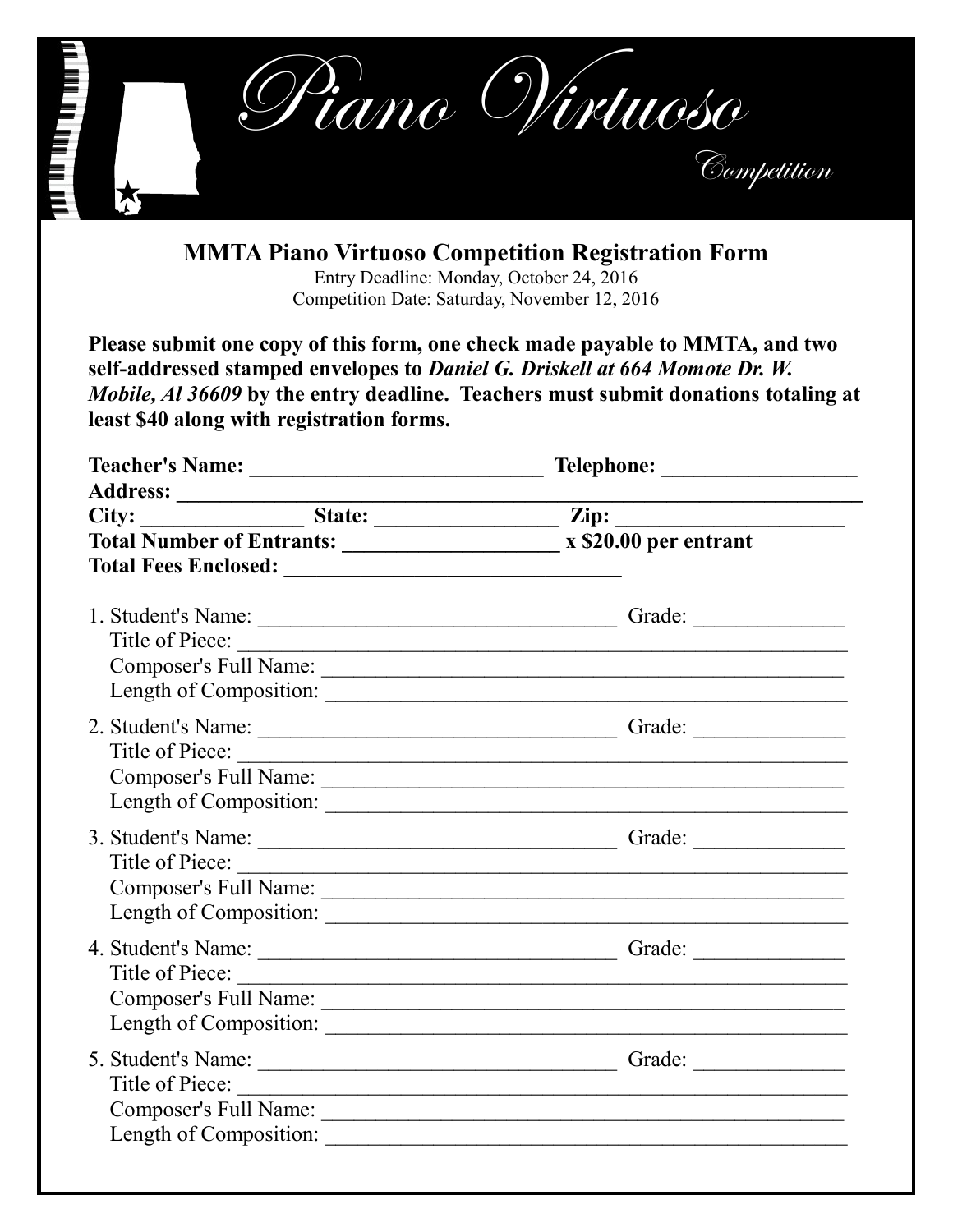

**MMTA Piano Virtuoso Competition Registration Form** Entry Deadline: Monday, October 24, 2016

Competition Date: Saturday, November 12, 2016

**Please submit one copy of this form, one check made payable to MMTA, and two self-addressed stamped envelopes to** *Daniel G. Driskell at 664 Momote Dr. W. Mobile, Al 36609* **by the entry deadline. Teachers must submit donations totaling at least \$40 along with registration forms.** 

| City: State: <u>State: Zip:</u>                 |
|-------------------------------------------------|
| Total Number of Entrants: x \$20.00 per entrant |
|                                                 |
|                                                 |
| Title of Piece:                                 |
| Title of Piece:                                 |
| Title of Piece:                                 |
| Title of Piece:                                 |
|                                                 |